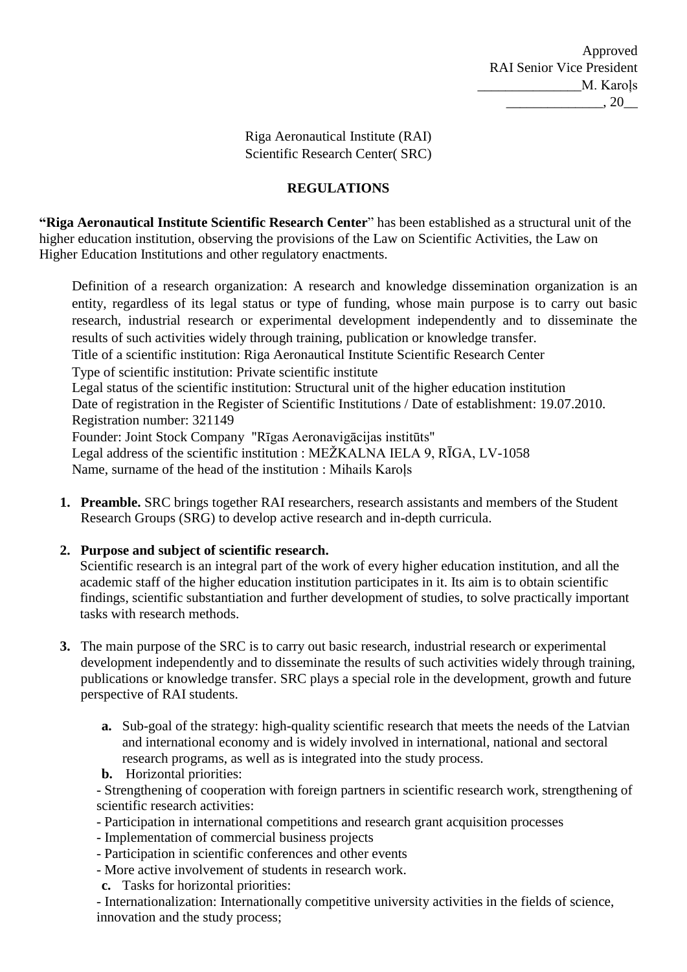Riga Aeronautical Institute (RAI) Scientific Research Center( SRC)

### **REGULATIONS**

**"Riga Aeronautical Institute Scientific Research Center**" has been established as a structural unit of the higher education institution, observing the provisions of the Law on Scientific Activities, the Law on Higher Education Institutions and other regulatory enactments.

Definition of a research organization: A research and knowledge dissemination organization is an entity, regardless of its legal status or type of funding, whose main purpose is to carry out basic research, industrial research or experimental development independently and to disseminate the results of such activities widely through training, publication or knowledge transfer. Title of a scientific institution: Riga Aeronautical Institute Scientific Research Center

Type of scientific institution: Private scientific institute

Legal status of the scientific institution: Structural unit of the higher education institution Date of registration in the Register of Scientific Institutions / Date of establishment: 19.07.2010. Registration number: 321149

Founder: Joint Stock Company "Rīgas Aeronavigācijas institūts" Legal address of the scientific institution : MEŽKALNA IELA 9, RĪGA, LV-1058 Name, surname of the head of the institution : Mihails Karoļs

**1. Preamble.** SRC brings together RAI researchers, research assistants and members of the Student Research Groups (SRG) to develop active research and in-depth curricula.

### **2. Purpose and subject of scientific research.**

Scientific research is an integral part of the work of every higher education institution, and all the academic staff of the higher education institution participates in it. Its aim is to obtain scientific findings, scientific substantiation and further development of studies, to solve practically important tasks with research methods.

- **3.** The main purpose of the SRC is to carry out basic research, industrial research or experimental development independently and to disseminate the results of such activities widely through training, publications or knowledge transfer. SRC plays a special role in the development, growth and future perspective of RAI students.
	- **a.** Sub-goal of the strategy: high-quality scientific research that meets the needs of the Latvian and international economy and is widely involved in international, national and sectoral research programs, as well as is integrated into the study process.
	- **b.** Horizontal priorities:

- Strengthening of cooperation with foreign partners in scientific research work, strengthening of scientific research activities:

- Participation in international competitions and research grant acquisition processes
- Implementation of commercial business projects
- Participation in scientific conferences and other events
- More active involvement of students in research work.
- **c.** Tasks for horizontal priorities:

- Internationalization: Internationally competitive university activities in the fields of science, innovation and the study process;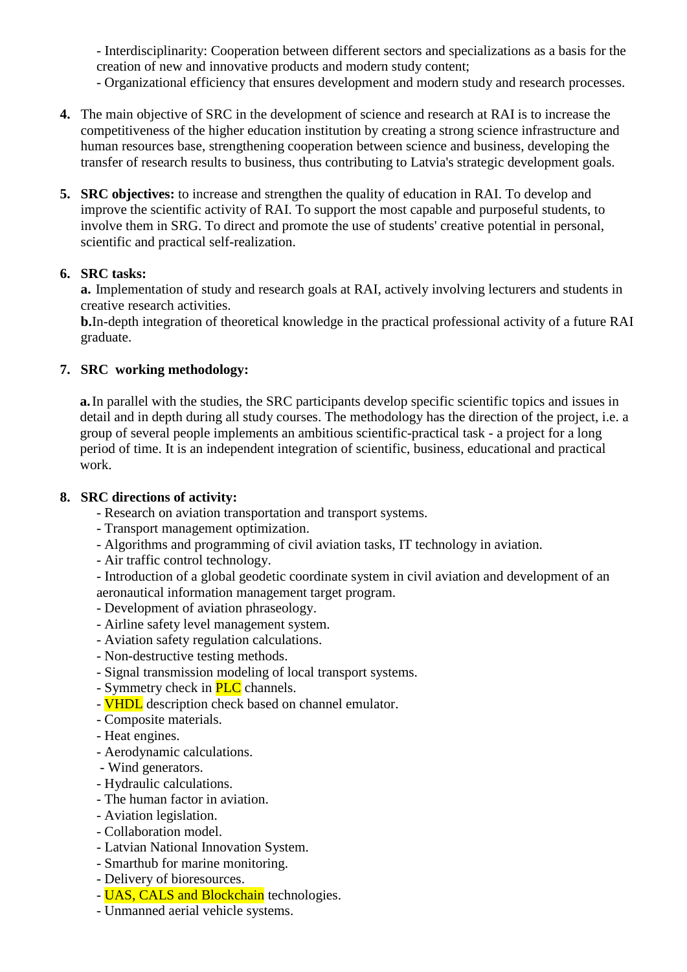- Interdisciplinarity: Cooperation between different sectors and specializations as a basis for the creation of new and innovative products and modern study content;

- Organizational efficiency that ensures development and modern study and research processes.

- **4.** The main objective of SRC in the development of science and research at RAI is to increase the competitiveness of the higher education institution by creating a strong science infrastructure and human resources base, strengthening cooperation between science and business, developing the transfer of research results to business, thus contributing to Latvia's strategic development goals.
- **5. SRC objectives:** to increase and strengthen the quality of education in RAI. To develop and improve the scientific activity of RAI. To support the most capable and purposeful students, to involve them in SRG. To direct and promote the use of students' creative potential in personal, scientific and practical self-realization.

### **6. SRC tasks:**

**a.** Implementation of study and research goals at RAI, actively involving lecturers and students in creative research activities.

**b.**In-depth integration of theoretical knowledge in the practical professional activity of a future RAI graduate.

### **7. SRC working methodology:**

**a.**In parallel with the studies, the SRC participants develop specific scientific topics and issues in detail and in depth during all study courses. The methodology has the direction of the project, i.e. a group of several people implements an ambitious scientific-practical task - a project for a long period of time. It is an independent integration of scientific, business, educational and practical work.

### **8. SRC directions of activity:**

- Research on aviation transportation and transport systems.
- Transport management optimization.
- Algorithms and programming of civil aviation tasks, IT technology in aviation.
- Air traffic control technology.
- Introduction of a global geodetic coordinate system in civil aviation and development of an aeronautical information management target program.
- Development of aviation phraseology.
- Airline safety level management system.
- Aviation safety regulation calculations.
- Non-destructive testing methods.
- Signal transmission modeling of local transport systems.
- Symmetry check in **PLC** channels.
- **VHDL** description check based on channel emulator.
- Composite materials.
- Heat engines.
- Aerodynamic calculations.
- Wind generators.
- Hydraulic calculations.
- The human factor in aviation.
- Aviation legislation.
- Collaboration model.
- Latvian National Innovation System.
- Smarthub for marine monitoring.
- Delivery of bioresources.
- UAS, CALS and Blockchain technologies.
- Unmanned aerial vehicle systems.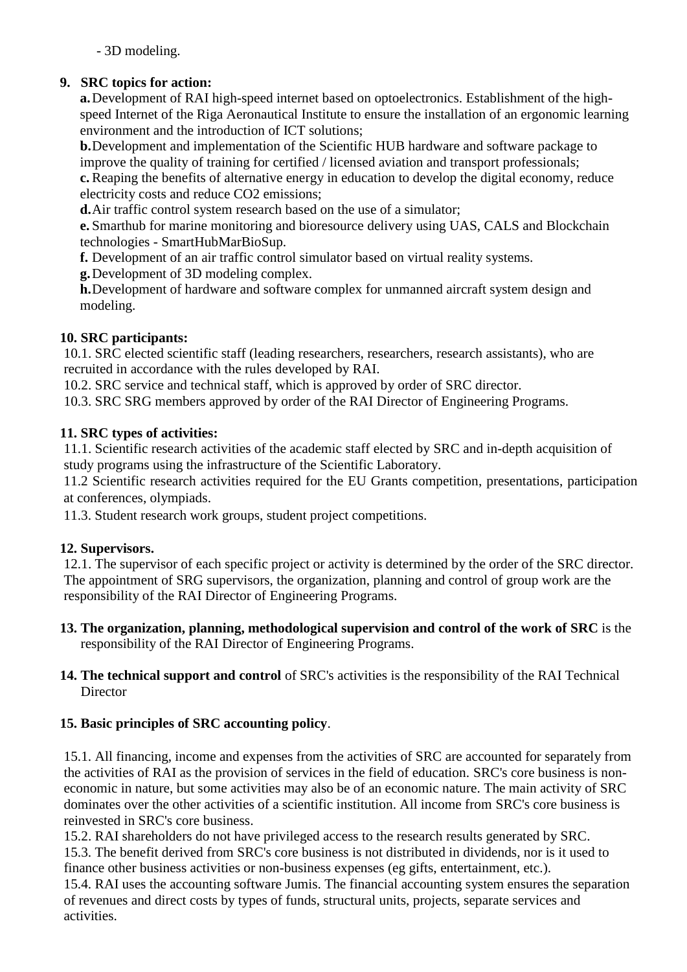- 3D modeling.

# **9. SRC topics for action:**

**a.**Development of RAI high-speed internet based on optoelectronics. Establishment of the highspeed Internet of the Riga Aeronautical Institute to ensure the installation of an ergonomic learning environment and the introduction of ICT solutions;

**b.**Development and implementation of the Scientific HUB hardware and software package to improve the quality of training for certified / licensed aviation and transport professionals; **c.** Reaping the benefits of alternative energy in education to develop the digital economy, reduce electricity costs and reduce CO2 emissions;

**d.**Air traffic control system research based on the use of a simulator;

**e.** Smarthub for marine monitoring and bioresource delivery using UAS, CALS and Blockchain technologies - SmartHubMarBioSup.

**f.** Development of an air traffic control simulator based on virtual reality systems.

**g.**Development of 3D modeling complex.

**h.**Development of hardware and software complex for unmanned aircraft system design and modeling.

# **10. SRC participants:**

10.1. SRC elected scientific staff (leading researchers, researchers, research assistants), who are recruited in accordance with the rules developed by RAI.

10.2. SRC service and technical staff, which is approved by order of SRC director.

10.3. SRC SRG members approved by order of the RAI Director of Engineering Programs.

## **11. SRC types of activities:**

11.1. Scientific research activities of the academic staff elected by SRC and in-depth acquisition of study programs using the infrastructure of the Scientific Laboratory.

11.2 Scientific research activities required for the EU Grants competition, presentations, participation at conferences, olympiads.

11.3. Student research work groups, student project competitions.

## **12. Supervisors.**

12.1. The supervisor of each specific project or activity is determined by the order of the SRC director. The appointment of SRG supervisors, the organization, planning and control of group work are the responsibility of the RAI Director of Engineering Programs.

- **13. The organization, planning, methodological supervision and control of the work of SRC** is the responsibility of the RAI Director of Engineering Programs.
- **14. The technical support and control** of SRC's activities is the responsibility of the RAI Technical **Director**

## **15. Basic principles of SRC accounting policy**.

15.1. All financing, income and expenses from the activities of SRC are accounted for separately from the activities of RAI as the provision of services in the field of education. SRC's core business is noneconomic in nature, but some activities may also be of an economic nature. The main activity of SRC dominates over the other activities of a scientific institution. All income from SRC's core business is reinvested in SRC's core business.

15.2. RAI shareholders do not have privileged access to the research results generated by SRC. 15.3. The benefit derived from SRC's core business is not distributed in dividends, nor is it used to finance other business activities or non-business expenses (eg gifts, entertainment, etc.).

15.4. RAI uses the accounting software Jumis. The financial accounting system ensures the separation of revenues and direct costs by types of funds, structural units, projects, separate services and activities.